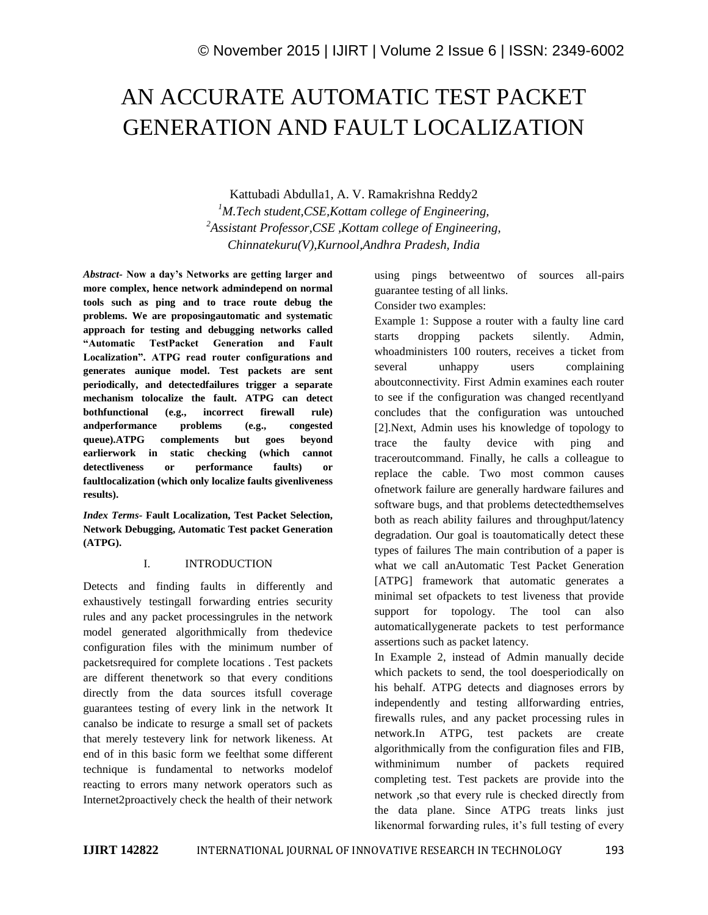# AN ACCURATE AUTOMATIC TEST PACKET GENERATION AND FAULT LOCALIZATION

Kattubadi Abdulla1, A. V. Ramakrishna Reddy2 *<sup>1</sup>M.Tech student,CSE,Kottam college of Engineering, <sup>2</sup>Assistant Professor,CSE ,Kottam college of Engineering, Chinnatekuru(V),Kurnool,Andhra Pradesh, India*

*Abstract-* **Now a day's Networks are getting larger and more complex, hence network admindepend on normal tools such as ping and to trace route debug the problems. We are proposingautomatic and systematic approach for testing and debugging networks called "Automatic TestPacket Generation and Fault Localization". ATPG read router configurations and generates aunique model. Test packets are sent periodically, and detectedfailures trigger a separate mechanism tolocalize the fault. ATPG can detect bothfunctional (e.g., incorrect firewall rule) andperformance problems (e.g., congested queue).ATPG complements but goes beyond earlierwork in static checking (which cannot detectliveness or performance faults) or faultlocalization (which only localize faults givenliveness results).**

*Index Terms-* **Fault Localization, Test Packet Selection, Network Debugging, Automatic Test packet Generation (ATPG).**

### I. INTRODUCTION

Detects and finding faults in differently and exhaustively testingall forwarding entries security rules and any packet processingrules in the network model generated algorithmically from thedevice configuration files with the minimum number of packetsrequired for complete locations . Test packets are different thenetwork so that every conditions directly from the data sources itsfull coverage guarantees testing of every link in the network It canalso be indicate to resurge a small set of packets that merely testevery link for network likeness. At end of in this basic form we feelthat some different technique is fundamental to networks modelof reacting to errors many network operators such as Internet2proactively check the health of their network using pings betweentwo of sources all-pairs guarantee testing of all links.

Consider two examples:

Example 1: Suppose a router with a faulty line card starts dropping packets silently. Admin, whoadministers 100 routers, receives a ticket from several unhappy users complaining aboutconnectivity. First Admin examines each router to see if the configuration was changed recentlyand concludes that the configuration was untouched [2].Next, Admin uses his knowledge of topology to trace the faulty device with ping and traceroutcommand. Finally, he calls a colleague to replace the cable. Two most common causes ofnetwork failure are generally hardware failures and software bugs, and that problems detectedthemselves both as reach ability failures and throughput/latency degradation. Our goal is toautomatically detect these types of failures The main contribution of a paper is what we call anAutomatic Test Packet Generation [ATPG] framework that automatic generates a minimal set ofpackets to test liveness that provide support for topology. The tool can also automaticallygenerate packets to test performance assertions such as packet latency.

In Example 2, instead of Admin manually decide which packets to send, the tool doesperiodically on his behalf. ATPG detects and diagnoses errors by independently and testing allforwarding entries, firewalls rules, and any packet processing rules in network.In ATPG, test packets are create algorithmically from the configuration files and FIB, withminimum number of packets required completing test. Test packets are provide into the network ,so that every rule is checked directly from the data plane. Since ATPG treats links just likenormal forwarding rules, it's full testing of every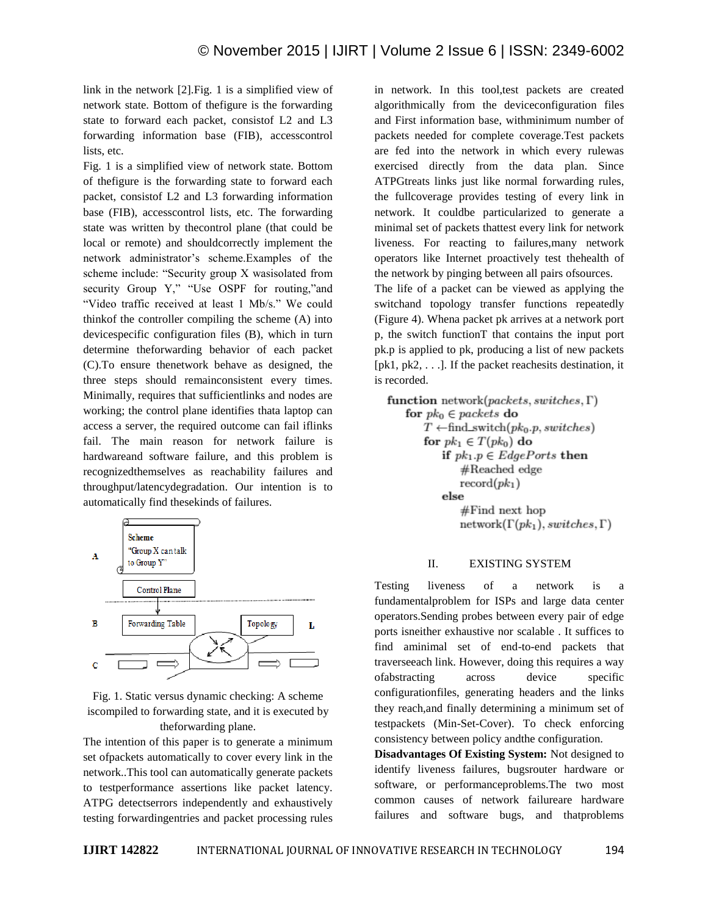link in the network [2].Fig. 1 is a simplified view of network state. Bottom of thefigure is the forwarding state to forward each packet, consistof L2 and L3 forwarding information base (FIB), accesscontrol lists, etc.

Fig. 1 is a simplified view of network state. Bottom of thefigure is the forwarding state to forward each packet, consistof L2 and L3 forwarding information base (FIB), accesscontrol lists, etc. The forwarding state was written by thecontrol plane (that could be local or remote) and shouldcorrectly implement the network administrator's scheme.Examples of the scheme include: "Security group X wasisolated from security Group Y," "Use OSPF for routing,"and "Video traffic received at least 1 Mb/s." We could thinkof the controller compiling the scheme (A) into devicespecific configuration files (B), which in turn determine theforwarding behavior of each packet (C).To ensure thenetwork behave as designed, the three steps should remainconsistent every times. Minimally, requires that sufficientlinks and nodes are working; the control plane identifies thata laptop can access a server, the required outcome can fail iflinks fail. The main reason for network failure is hardwareand software failure, and this problem is recognizedthemselves as reachability failures and throughput/latencydegradation. Our intention is to automatically find thesekinds of failures.



Fig. 1. Static versus dynamic checking: A scheme iscompiled to forwarding state, and it is executed by theforwarding plane.

The intention of this paper is to generate a minimum set ofpackets automatically to cover every link in the network..This tool can automatically generate packets to testperformance assertions like packet latency. ATPG detectserrors independently and exhaustively testing forwardingentries and packet processing rules in network. In this tool,test packets are created algorithmically from the deviceconfiguration files and First information base, withminimum number of packets needed for complete coverage.Test packets are fed into the network in which every rulewas exercised directly from the data plan. Since ATPGtreats links just like normal forwarding rules, the fullcoverage provides testing of every link in network. It couldbe particularized to generate a minimal set of packets thattest every link for network liveness. For reacting to failures,many network operators like Internet proactively test thehealth of the network by pinging between all pairs ofsources.

The life of a packet can be viewed as applying the switchand topology transfer functions repeatedly (Figure 4). Whena packet pk arrives at a network port p, the switch functionT that contains the input port pk.p is applied to pk, producing a list of new packets [ $pk1$ ,  $pk2$ , ...]. If the packet reaches its destination, it is recorded.

function network(packets, switches,  $\Gamma$ ) for  $pk_0 \in packets$  do  $T \leftarrow \text{find\_switch}(pk_0.p, switches)$ for  $pk_1 \in T(pk_0)$  do if  $pk_1.p \in EdgePorts$  then #Reached edge  $record(pk<sub>1</sub>)$ else  $#Find$  next hop  $network(\Gamma(pk_1), switches, \Gamma)$ 

#### II. EXISTING SYSTEM

Testing liveness of a network is a fundamentalproblem for ISPs and large data center operators.Sending probes between every pair of edge ports isneither exhaustive nor scalable . It suffices to find aminimal set of end-to-end packets that traverseeach link. However, doing this requires a way ofabstracting across device specific configurationfiles, generating headers and the links they reach,and finally determining a minimum set of testpackets (Min-Set-Cover). To check enforcing consistency between policy andthe configuration.

**Disadvantages Of Existing System:** Not designed to identify liveness failures, bugsrouter hardware or software, or performanceproblems.The two most common causes of network failureare hardware failures and software bugs, and thatproblems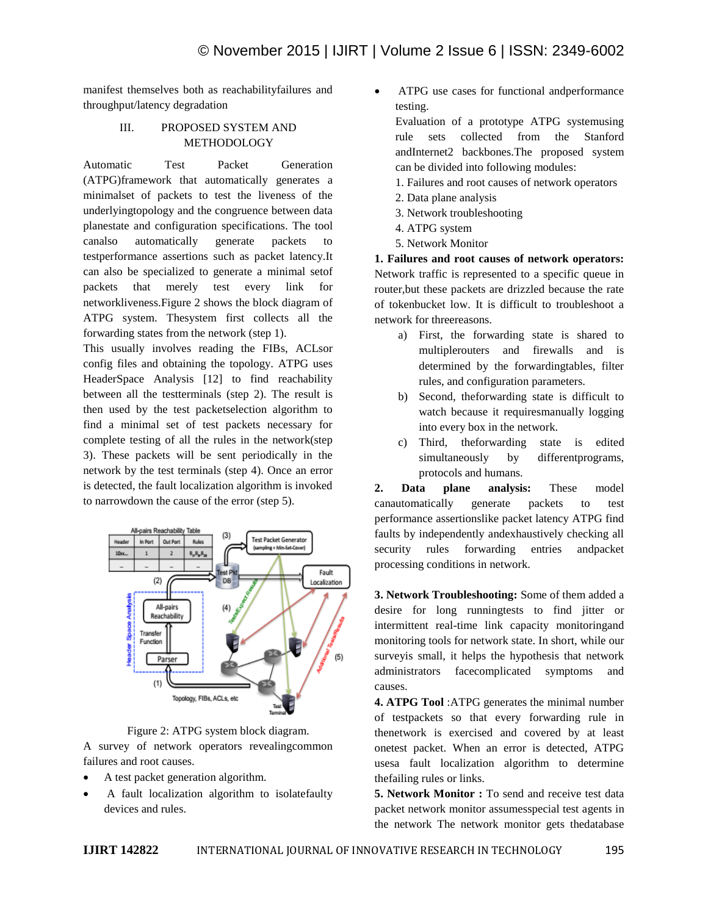manifest themselves both as reachabilityfailures and throughput/latency degradation

### III. PROPOSED SYSTEM AND METHODOLOGY

Automatic Test Packet Generation (ATPG)framework that automatically generates a minimalset of packets to test the liveness of the underlyingtopology and the congruence between data planestate and configuration specifications. The tool canalso automatically generate packets to testperformance assertions such as packet latency.It can also be specialized to generate a minimal setof packets that merely test every link for networkliveness.Figure 2 shows the block diagram of ATPG system. Thesystem first collects all the forwarding states from the network (step 1).

This usually involves reading the FIBs, ACLsor config files and obtaining the topology. ATPG uses HeaderSpace Analysis [12] to find reachability between all the testterminals (step 2). The result is then used by the test packetselection algorithm to find a minimal set of test packets necessary for complete testing of all the rules in the network(step 3). These packets will be sent periodically in the network by the test terminals (step 4). Once an error is detected, the fault localization algorithm is invoked to narrowdown the cause of the error (step 5).





A survey of network operators revealingcommon failures and root causes.

- A test packet generation algorithm.
- A fault localization algorithm to isolatefaulty devices and rules.

 ATPG use cases for functional andperformance testing.

Evaluation of a prototype ATPG systemusing rule sets collected from the Stanford andInternet2 backbones.The proposed system can be divided into following modules:

- 1. Failures and root causes of network operators
- 2. Data plane analysis
- 3. Network troubleshooting
- 4. ATPG system
- 5. Network Monitor

**1. Failures and root causes of network operators:** Network traffic is represented to a specific queue in router,but these packets are drizzled because the rate of tokenbucket low. It is difficult to troubleshoot a network for threereasons.

- a) First, the forwarding state is shared to multiplerouters and firewalls and is determined by the forwardingtables, filter rules, and configuration parameters.
- b) Second, theforwarding state is difficult to watch because it requiresmanually logging into every box in the network.
- c) Third, theforwarding state is edited simultaneously by differentprograms, protocols and humans.

**2. Data plane analysis:** These model canautomatically generate packets to test performance assertionslike packet latency ATPG find faults by independently andexhaustively checking all security rules forwarding entries andpacket processing conditions in network.

**3. Network Troubleshooting:** Some of them added a desire for long runningtests to find jitter or intermittent real-time link capacity monitoringand monitoring tools for network state. In short, while our surveyis small, it helps the hypothesis that network administrators facecomplicated symptoms and causes.

**4. ATPG Tool** :ATPG generates the minimal number of testpackets so that every forwarding rule in thenetwork is exercised and covered by at least onetest packet. When an error is detected, ATPG usesa fault localization algorithm to determine thefailing rules or links.

**5. Network Monitor :** To send and receive test data packet network monitor assumesspecial test agents in the network The network monitor gets thedatabase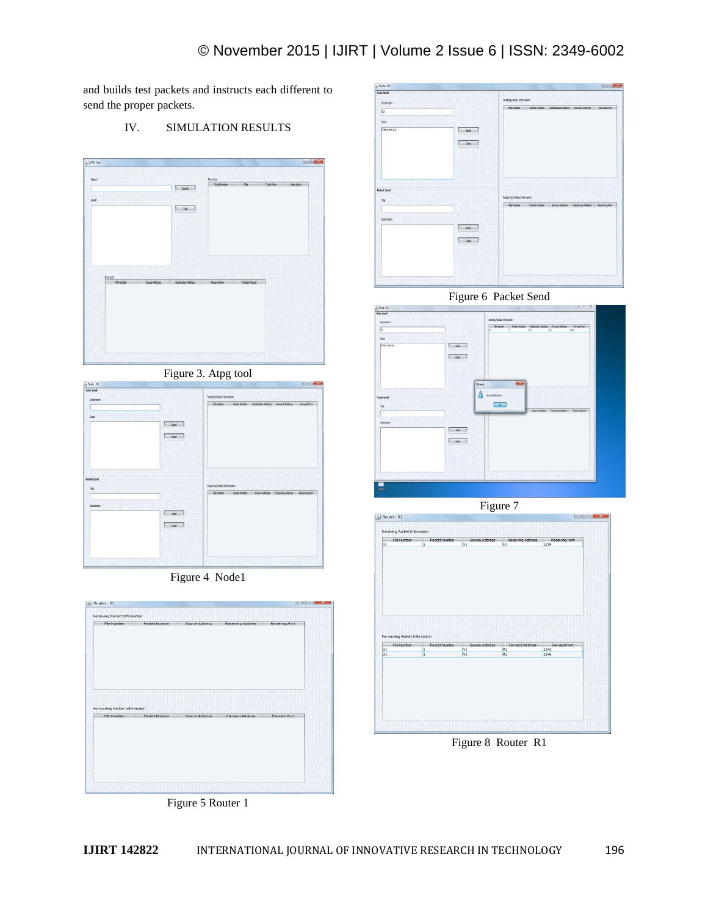and builds test packets and instructs each different to send the proper packets.

IV. SIMULATION RESULTS



Figure 3. Atpg tool

| in Node: N1<br>Data Send                                                |                         |                                                                                                                             |
|-------------------------------------------------------------------------|-------------------------|-----------------------------------------------------------------------------------------------------------------------------|
| Destruction<br>m<br>Gata                                                | Send<br><b>Clear</b>    | Sending Packet Information<br>Flettunber<br><b>Packer Number</b><br>Destration Address Forward Address<br>Forward Port      |
| <b>Ticket Send</b><br>Title:<br><b>ROOTE</b><br>---<br>┅<br>Description | 01<br>Feet.<br>One<br>m | Receiving Padrat Information<br>File humber<br><b>Packer Number</b><br>Source Address - Receiving Address<br>Receiving Part |
|                                                                         | m                       |                                                                                                                             |

Figure 4 Node1







Figure 6 Packet Send



Figure 7



Figure 8 Router R1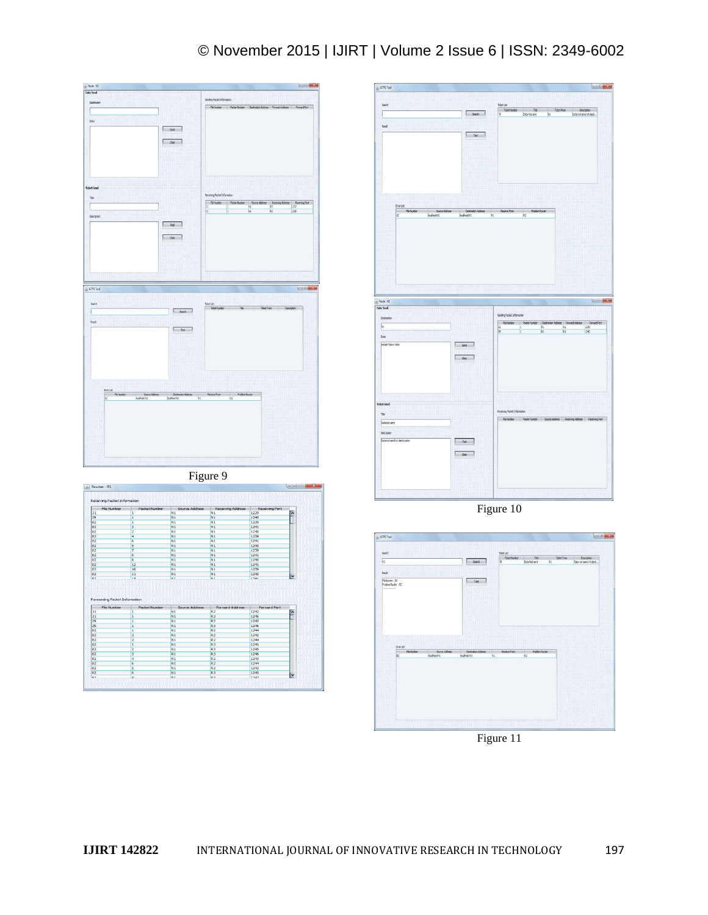# © November 2015 | IJIRT | Volume 2 Issue 6 | ISSN: 2349-6002









Figure 11